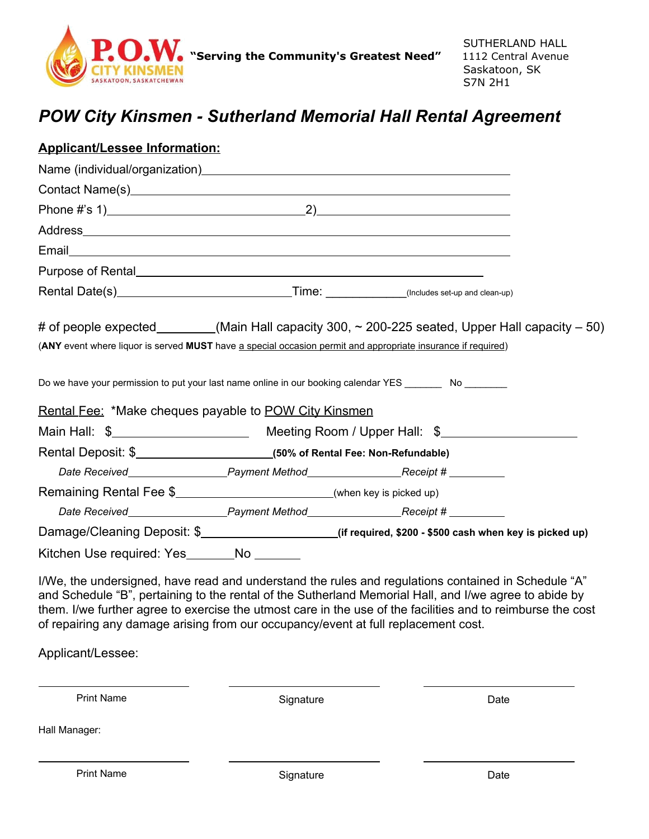

## *POW City Kinsmen - Sutherland Memorial Hall Rental Agreement*

| <b>Applicant/Lessee Information:</b>                                     |                                                                                                                                                                                                                  |
|--------------------------------------------------------------------------|------------------------------------------------------------------------------------------------------------------------------------------------------------------------------------------------------------------|
|                                                                          |                                                                                                                                                                                                                  |
|                                                                          |                                                                                                                                                                                                                  |
|                                                                          |                                                                                                                                                                                                                  |
|                                                                          |                                                                                                                                                                                                                  |
|                                                                          |                                                                                                                                                                                                                  |
|                                                                          |                                                                                                                                                                                                                  |
|                                                                          |                                                                                                                                                                                                                  |
|                                                                          | # of people expected________(Main Hall capacity 300, ~ 200-225 seated, Upper Hall capacity – 50)<br>(ANY event where liquor is served MUST have a special occasion permit and appropriate insurance if required) |
| <u>Rental Fee:</u> *Make cheques payable to <u>POW City Kinsmen</u>      | Do we have your permission to put your last name online in our booking calendar YES _________ No ________                                                                                                        |
|                                                                          |                                                                                                                                                                                                                  |
|                                                                          |                                                                                                                                                                                                                  |
|                                                                          |                                                                                                                                                                                                                  |
| Remaining Rental Fee \$__________________________(when key is picked up) |                                                                                                                                                                                                                  |
|                                                                          |                                                                                                                                                                                                                  |
|                                                                          | Damage/Cleaning Deposit: \$_____________________(if required, \$200 - \$500 cash when key is picked up)                                                                                                          |
| Kitchen Use required: Yes_______No _______                               |                                                                                                                                                                                                                  |
|                                                                          | I/We, the undersigned, have read and understand the rules and regulations contained in Schedule "A"<br>and Cabadula "D", parteining to the reptal of the Cutherland Memorial Hell, and I/we eggee to obide by    |

and Schedule "B", pertaining to the rental of the Sutherland Memorial Hall, and I/we agree to abide by them. I/we further agree to exercise the utmost care in the use of the facilities and to reimburse the cost of repairing any damage arising from our occupancy/event at full replacement cost.

Applicant/Lessee:

Print Name Date Communication Communication Communication Communication Communication Communication Communication Communication Communication Communication Communication Communication Communication Communication Communicat

Hall Manager:

Print Name Date Communication Communication Communication Communication Communication Communication Communication Communication Communication Communication Communication Communication Communication Communication Communicat